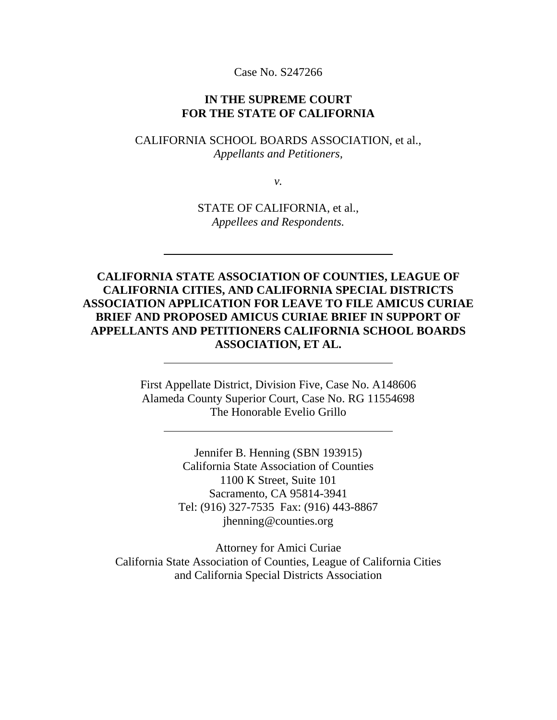Case No. S247266

#### **IN THE SUPREME COURT FOR THE STATE OF CALIFORNIA**

CALIFORNIA SCHOOL BOARDS ASSOCIATION, et al., *Appellants and Petitioners,*

*v.*

STATE OF CALIFORNIA, et al., *Appellees and Respondents.*

**CALIFORNIA STATE ASSOCIATION OF COUNTIES, LEAGUE OF CALIFORNIA CITIES, AND CALIFORNIA SPECIAL DISTRICTS ASSOCIATION APPLICATION FOR LEAVE TO FILE AMICUS CURIAE BRIEF AND PROPOSED AMICUS CURIAE BRIEF IN SUPPORT OF APPELLANTS AND PETITIONERS CALIFORNIA SCHOOL BOARDS ASSOCIATION, ET AL.**

> First Appellate District, Division Five, Case No. A148606 Alameda County Superior Court, Case No. RG 11554698 The Honorable Evelio Grillo

> > Jennifer B. Henning (SBN 193915) California State Association of Counties 1100 K Street, Suite 101 Sacramento, CA 95814-3941 Tel: (916) 327-7535 Fax: (916) 443-8867 jhenning@counties.org

Attorney for Amici Curiae California State Association of Counties, League of California Cities and California Special Districts Association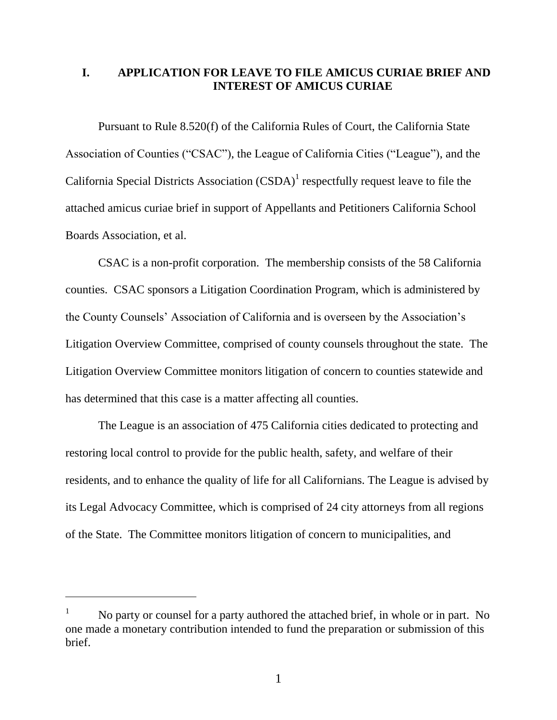### **I. APPLICATION FOR LEAVE TO FILE AMICUS CURIAE BRIEF AND INTEREST OF AMICUS CURIAE**

Pursuant to Rule 8.520(f) of the California Rules of Court, the California State Association of Counties ("CSAC"), the League of California Cities ("League"), and the California Special Districts Association  $(CSDA)^1$  respectfully request leave to file the attached amicus curiae brief in support of Appellants and Petitioners California School Boards Association, et al.

CSAC is a non-profit corporation. The membership consists of the 58 California counties. CSAC sponsors a Litigation Coordination Program, which is administered by the County Counsels' Association of California and is overseen by the Association's Litigation Overview Committee, comprised of county counsels throughout the state. The Litigation Overview Committee monitors litigation of concern to counties statewide and has determined that this case is a matter affecting all counties.

The League is an association of 475 California cities dedicated to protecting and restoring local control to provide for the public health, safety, and welfare of their residents, and to enhance the quality of life for all Californians. The League is advised by its Legal Advocacy Committee, which is comprised of 24 city attorneys from all regions of the State. The Committee monitors litigation of concern to municipalities, and

 $\overline{a}$ 

<sup>&</sup>lt;sup>1</sup> No party or counsel for a party authored the attached brief, in whole or in part. No one made a monetary contribution intended to fund the preparation or submission of this brief.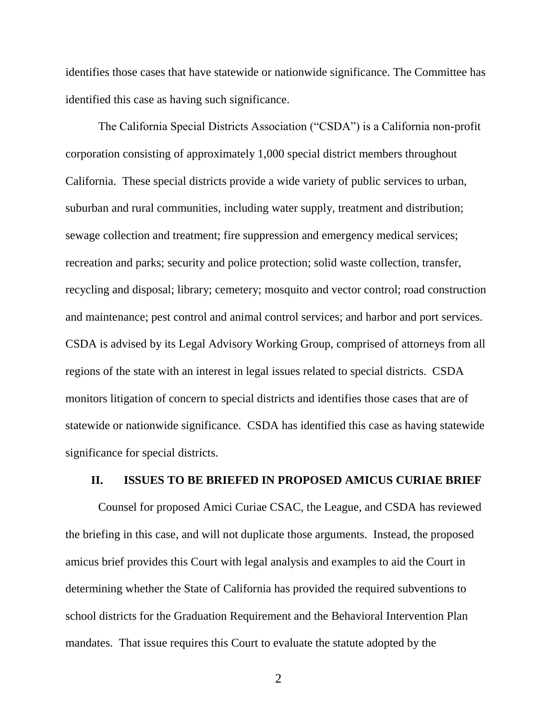identifies those cases that have statewide or nationwide significance. The Committee has identified this case as having such significance.

The California Special Districts Association ("CSDA") is a California non-profit corporation consisting of approximately 1,000 special district members throughout California. These special districts provide a wide variety of public services to urban, suburban and rural communities, including water supply, treatment and distribution; sewage collection and treatment; fire suppression and emergency medical services; recreation and parks; security and police protection; solid waste collection, transfer, recycling and disposal; library; cemetery; mosquito and vector control; road construction and maintenance; pest control and animal control services; and harbor and port services. CSDA is advised by its Legal Advisory Working Group, comprised of attorneys from all regions of the state with an interest in legal issues related to special districts. CSDA monitors litigation of concern to special districts and identifies those cases that are of statewide or nationwide significance. CSDA has identified this case as having statewide significance for special districts.

### **II. ISSUES TO BE BRIEFED IN PROPOSED AMICUS CURIAE BRIEF**

Counsel for proposed Amici Curiae CSAC, the League, and CSDA has reviewed the briefing in this case, and will not duplicate those arguments. Instead, the proposed amicus brief provides this Court with legal analysis and examples to aid the Court in determining whether the State of California has provided the required subventions to school districts for the Graduation Requirement and the Behavioral Intervention Plan mandates. That issue requires this Court to evaluate the statute adopted by the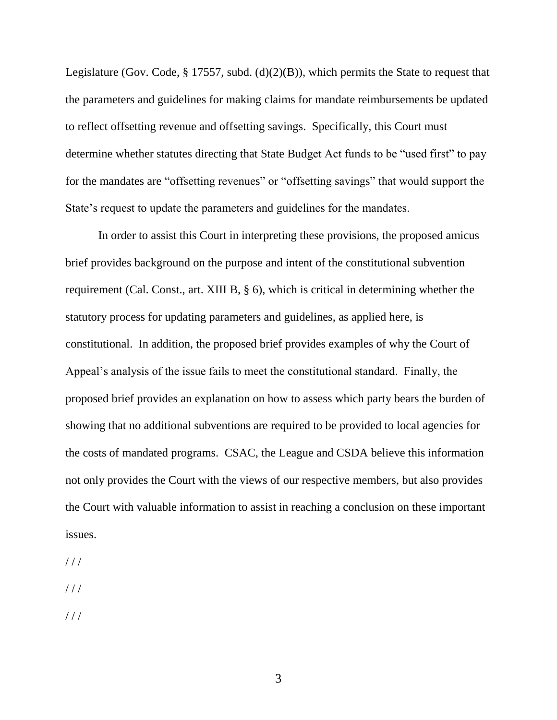Legislature (Gov. Code, § 17557, subd. (d)(2)(B)), which permits the State to request that the parameters and guidelines for making claims for mandate reimbursements be updated to reflect offsetting revenue and offsetting savings. Specifically, this Court must determine whether statutes directing that State Budget Act funds to be "used first" to pay for the mandates are "offsetting revenues" or "offsetting savings" that would support the State's request to update the parameters and guidelines for the mandates.

In order to assist this Court in interpreting these provisions, the proposed amicus brief provides background on the purpose and intent of the constitutional subvention requirement (Cal. Const., art. XIII B, § 6), which is critical in determining whether the statutory process for updating parameters and guidelines, as applied here, is constitutional. In addition, the proposed brief provides examples of why the Court of Appeal's analysis of the issue fails to meet the constitutional standard. Finally, the proposed brief provides an explanation on how to assess which party bears the burden of showing that no additional subventions are required to be provided to local agencies for the costs of mandated programs. CSAC, the League and CSDA believe this information not only provides the Court with the views of our respective members, but also provides the Court with valuable information to assist in reaching a conclusion on these important issues.

 $1/1$ 

 $//$ 

 $1/1$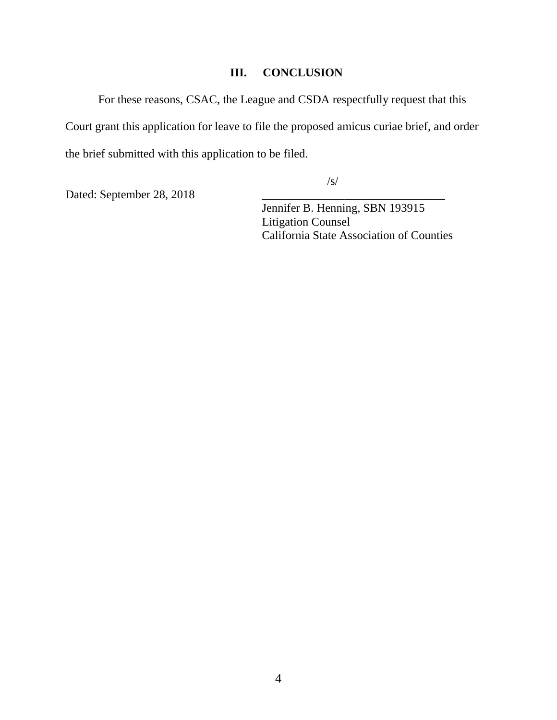## **III. CONCLUSION**

For these reasons, CSAC, the League and CSDA respectfully request that this Court grant this application for leave to file the proposed amicus curiae brief, and order the brief submitted with this application to be filed.

/s/

Dated: September 28, 2018

Jennifer B. Henning, SBN 193915 Litigation Counsel California State Association of Counties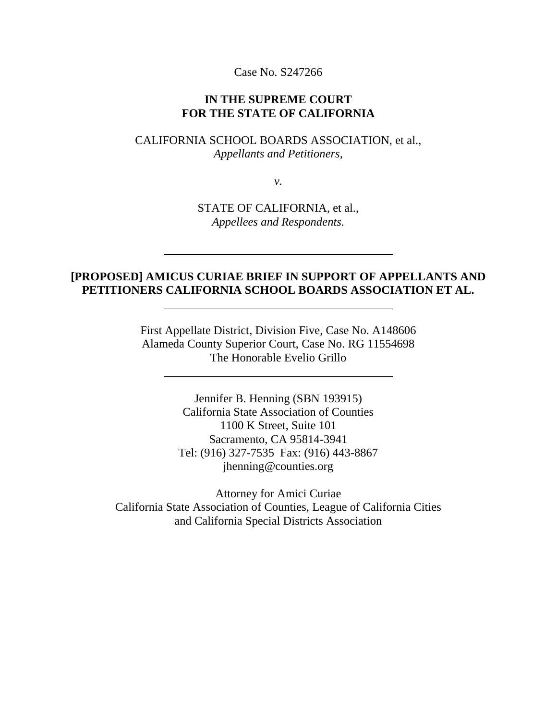Case No. S247266

#### **IN THE SUPREME COURT FOR THE STATE OF CALIFORNIA**

### CALIFORNIA SCHOOL BOARDS ASSOCIATION, et al., *Appellants and Petitioners,*

*v.*

STATE OF CALIFORNIA, et al., *Appellees and Respondents.*

## **[PROPOSED] AMICUS CURIAE BRIEF IN SUPPORT OF APPELLANTS AND PETITIONERS CALIFORNIA SCHOOL BOARDS ASSOCIATION ET AL.**

First Appellate District, Division Five, Case No. A148606 Alameda County Superior Court, Case No. RG 11554698 The Honorable Evelio Grillo

> Jennifer B. Henning (SBN 193915) California State Association of Counties 1100 K Street, Suite 101 Sacramento, CA 95814-3941 Tel: (916) 327-7535 Fax: (916) 443-8867 jhenning@counties.org

Attorney for Amici Curiae California State Association of Counties, League of California Cities and California Special Districts Association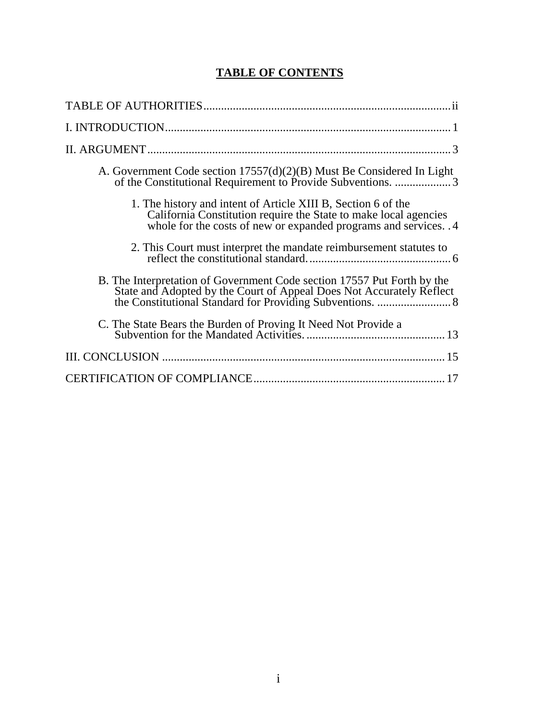# **TABLE OF CONTENTS**

| A. Government Code section $17557(d)(2)(B)$ Must Be Considered In Light                                                                                                                               |
|-------------------------------------------------------------------------------------------------------------------------------------------------------------------------------------------------------|
| 1. The history and intent of Article XIII B, Section 6 of the<br>California Constitution require the State to make local agencies<br>whole for the costs of new or expanded programs and services. .4 |
|                                                                                                                                                                                                       |
| B. The Interpretation of Government Code section 17557 Put Forth by the<br>State and Adopted by the Court of Appeal Does Not Accurately Reflect                                                       |
|                                                                                                                                                                                                       |
|                                                                                                                                                                                                       |
|                                                                                                                                                                                                       |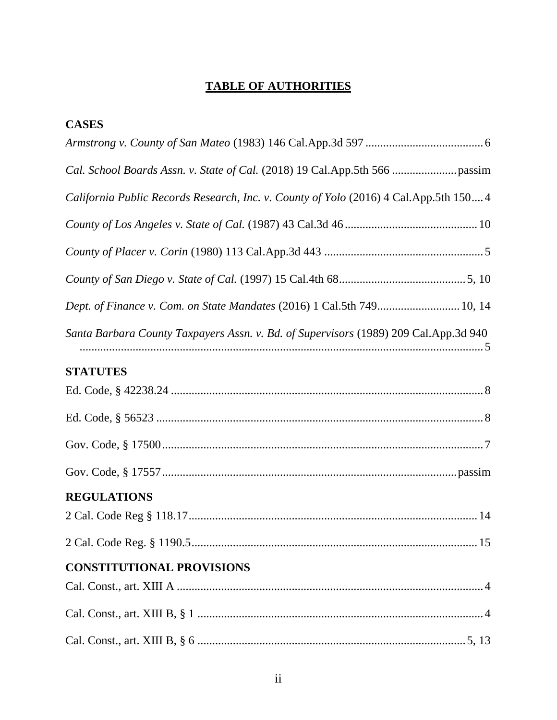# **TABLE OF AUTHORITIES**

| <b>CASES</b>                                                                           |
|----------------------------------------------------------------------------------------|
|                                                                                        |
|                                                                                        |
| California Public Records Research, Inc. v. County of Yolo (2016) 4 Cal.App.5th 150 4  |
|                                                                                        |
|                                                                                        |
|                                                                                        |
| Dept. of Finance v. Com. on State Mandates (2016) 1 Cal.5th 749 10, 14                 |
| Santa Barbara County Taxpayers Assn. v. Bd. of Supervisors (1989) 209 Cal. App. 3d 940 |
| <b>STATUTES</b>                                                                        |
|                                                                                        |
|                                                                                        |
|                                                                                        |
|                                                                                        |
| <b>REGULATIONS</b>                                                                     |
|                                                                                        |
|                                                                                        |
| <b>CONSTITUTIONAL PROVISIONS</b>                                                       |
|                                                                                        |
|                                                                                        |
|                                                                                        |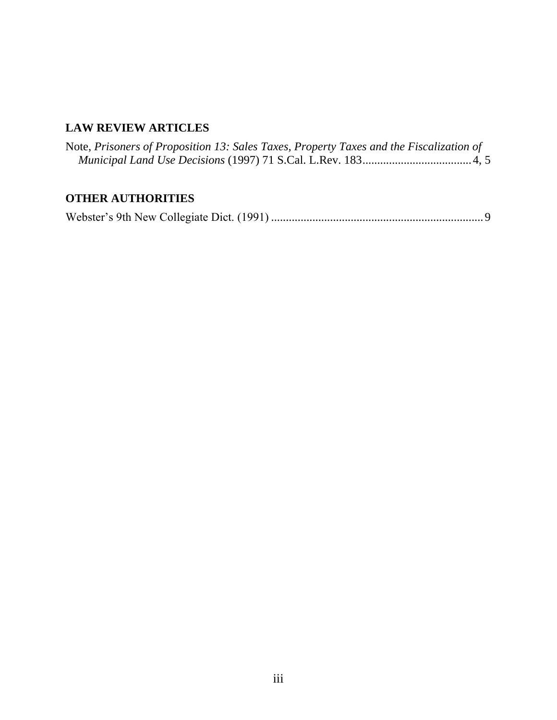# **LAW REVIEW ARTICLES**

| Note, Prisoners of Proposition 13: Sales Taxes, Property Taxes and the Fiscalization of |  |  |  |
|-----------------------------------------------------------------------------------------|--|--|--|
|                                                                                         |  |  |  |

# **OTHER AUTHORITIES**

|--|--|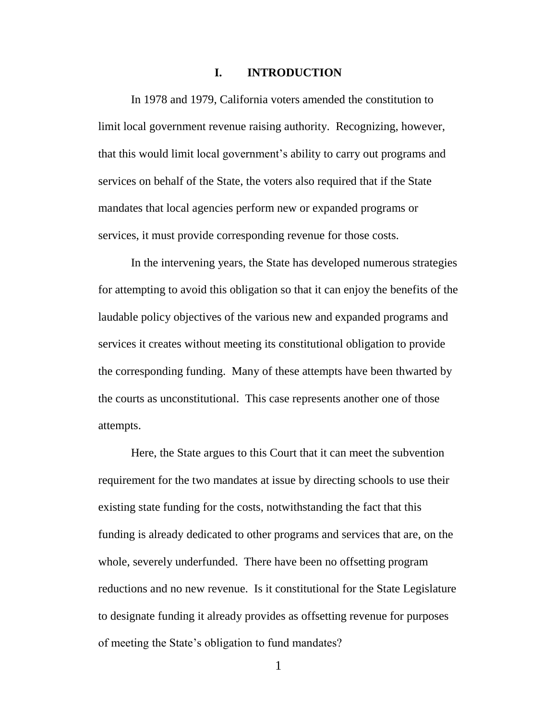#### **I. INTRODUCTION**

In 1978 and 1979, California voters amended the constitution to limit local government revenue raising authority. Recognizing, however, that this would limit local government's ability to carry out programs and services on behalf of the State, the voters also required that if the State mandates that local agencies perform new or expanded programs or services, it must provide corresponding revenue for those costs.

In the intervening years, the State has developed numerous strategies for attempting to avoid this obligation so that it can enjoy the benefits of the laudable policy objectives of the various new and expanded programs and services it creates without meeting its constitutional obligation to provide the corresponding funding. Many of these attempts have been thwarted by the courts as unconstitutional. This case represents another one of those attempts.

Here, the State argues to this Court that it can meet the subvention requirement for the two mandates at issue by directing schools to use their existing state funding for the costs, notwithstanding the fact that this funding is already dedicated to other programs and services that are, on the whole, severely underfunded. There have been no offsetting program reductions and no new revenue. Is it constitutional for the State Legislature to designate funding it already provides as offsetting revenue for purposes of meeting the State's obligation to fund mandates?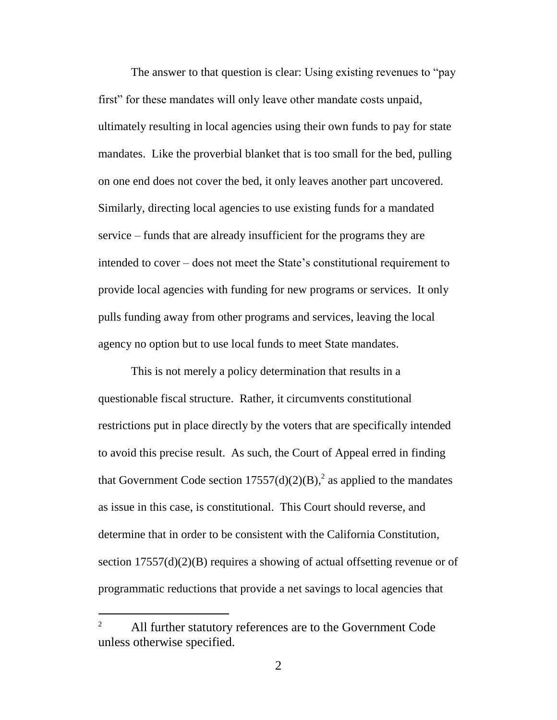The answer to that question is clear: Using existing revenues to "pay first" for these mandates will only leave other mandate costs unpaid, ultimately resulting in local agencies using their own funds to pay for state mandates. Like the proverbial blanket that is too small for the bed, pulling on one end does not cover the bed, it only leaves another part uncovered. Similarly, directing local agencies to use existing funds for a mandated service – funds that are already insufficient for the programs they are intended to cover – does not meet the State's constitutional requirement to provide local agencies with funding for new programs or services. It only pulls funding away from other programs and services, leaving the local agency no option but to use local funds to meet State mandates.

This is not merely a policy determination that results in a questionable fiscal structure. Rather, it circumvents constitutional restrictions put in place directly by the voters that are specifically intended to avoid this precise result. As such, the Court of Appeal erred in finding that Government Code section  $17557(d)(2)(B)$ ,<sup>2</sup> as applied to the mandates as issue in this case, is constitutional. This Court should reverse, and determine that in order to be consistent with the California Constitution, section  $17557(d)(2)(B)$  requires a showing of actual offsetting revenue or of programmatic reductions that provide a net savings to local agencies that

 $\overline{a}$ 

<sup>&</sup>lt;sup>2</sup> All further statutory references are to the Government Code unless otherwise specified.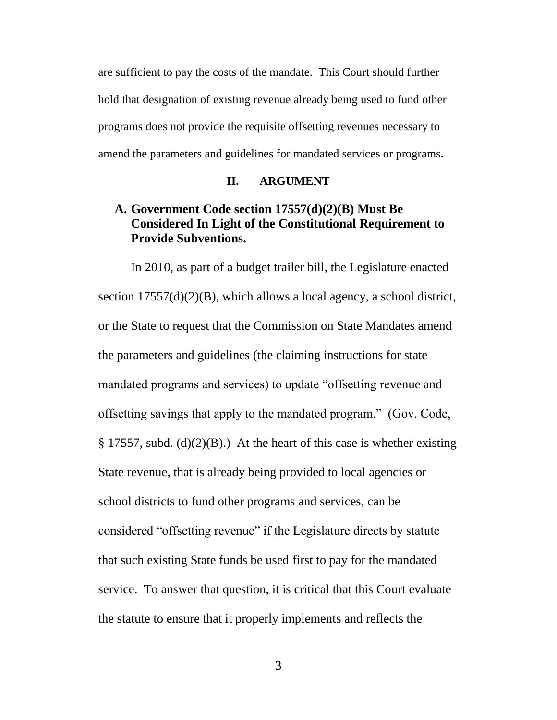are sufficient to pay the costs of the mandate. This Court should further hold that designation of existing revenue already being used to fund other programs does not provide the requisite offsetting revenues necessary to amend the parameters and guidelines for mandated services or programs.

#### **II. ARGUMENT**

# **A. Government Code section 17557(d)(2)(B) Must Be Considered In Light of the Constitutional Requirement to Provide Subventions.**

In 2010, as part of a budget trailer bill, the Legislature enacted section 17557(d)(2)(B), which allows a local agency, a school district, or the State to request that the Commission on State Mandates amend the parameters and guidelines (the claiming instructions for state mandated programs and services) to update "offsetting revenue and offsetting savings that apply to the mandated program." (Gov. Code,  $\S 17557$ , subd. (d)(2)(B).) At the heart of this case is whether existing State revenue, that is already being provided to local agencies or school districts to fund other programs and services, can be considered "offsetting revenue" if the Legislature directs by statute that such existing State funds be used first to pay for the mandated service. To answer that question, it is critical that this Court evaluate the statute to ensure that it properly implements and reflects the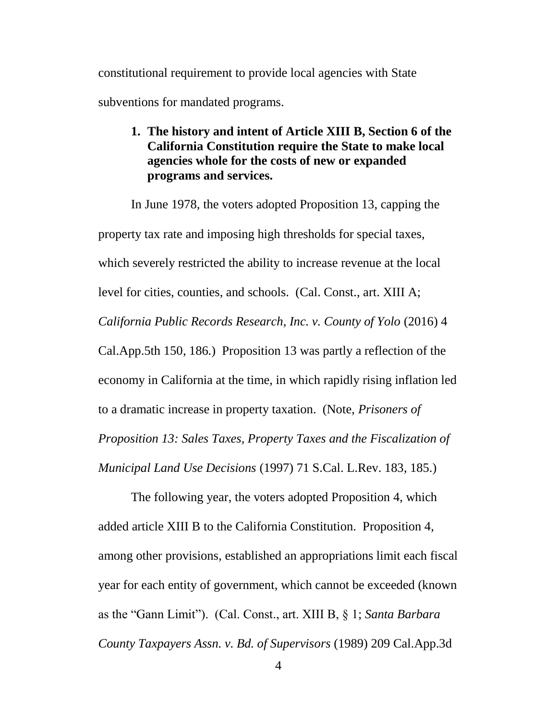constitutional requirement to provide local agencies with State subventions for mandated programs.

> **1. The history and intent of Article XIII B, Section 6 of the California Constitution require the State to make local agencies whole for the costs of new or expanded programs and services.**

In June 1978, the voters adopted Proposition 13, capping the property tax rate and imposing high thresholds for special taxes, which severely restricted the ability to increase revenue at the local level for cities, counties, and schools. (Cal. Const., art. XIII A; *California Public Records Research, Inc. v. County of Yolo* (2016) 4 Cal.App.5th 150, 186.) Proposition 13 was partly a reflection of the economy in California at the time, in which rapidly rising inflation led to a dramatic increase in property taxation. (Note, *Prisoners of Proposition 13: Sales Taxes, Property Taxes and the Fiscalization of Municipal Land Use Decisions* (1997) 71 S.Cal. L.Rev. 183, 185.)

The following year, the voters adopted Proposition 4, which added article XIII B to the California Constitution. Proposition 4, among other provisions, established an appropriations limit each fiscal year for each entity of government, which cannot be exceeded (known as the "Gann Limit"). (Cal. Const., art. XIII B, § 1; *Santa Barbara County Taxpayers Assn. v. Bd. of Supervisors* (1989) 209 Cal.App.3d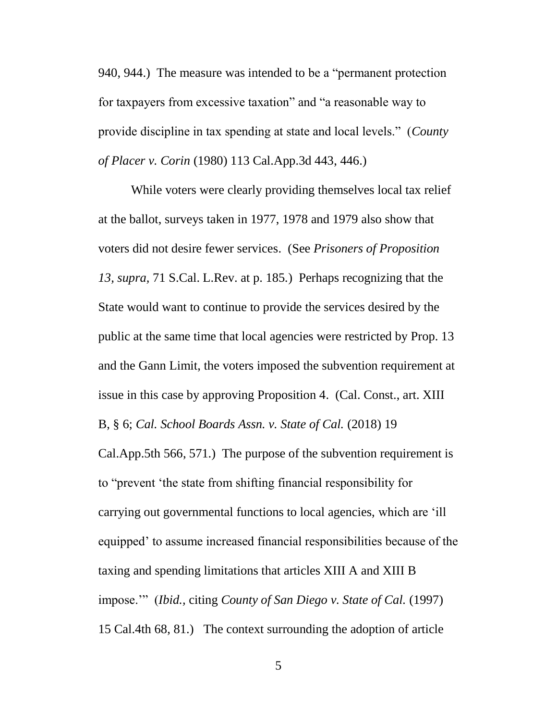940, 944.) The measure was intended to be a "permanent protection for taxpayers from excessive taxation" and "a reasonable way to provide discipline in tax spending at state and local levels." (*County of Placer v. Corin* (1980) 113 Cal.App.3d 443, 446.)

While voters were clearly providing themselves local tax relief at the ballot, surveys taken in 1977, 1978 and 1979 also show that voters did not desire fewer services. (See *Prisoners of Proposition 13, supra,* 71 S.Cal. L.Rev. at p. 185*.*) Perhaps recognizing that the State would want to continue to provide the services desired by the public at the same time that local agencies were restricted by Prop. 13 and the Gann Limit, the voters imposed the subvention requirement at issue in this case by approving Proposition 4. (Cal. Const., art. XIII B, § 6; *Cal. School Boards Assn. v. State of Cal.* (2018) 19

Cal.App.5th 566, 571.) The purpose of the subvention requirement is to "prevent 'the state from shifting financial responsibility for carrying out governmental functions to local agencies, which are 'ill equipped' to assume increased financial responsibilities because of the taxing and spending limitations that articles XIII A and XIII B impose.'" (*Ibid.,* citing *County of San Diego v. State of Cal.* (1997) 15 Cal.4th 68, 81.) The context surrounding the adoption of article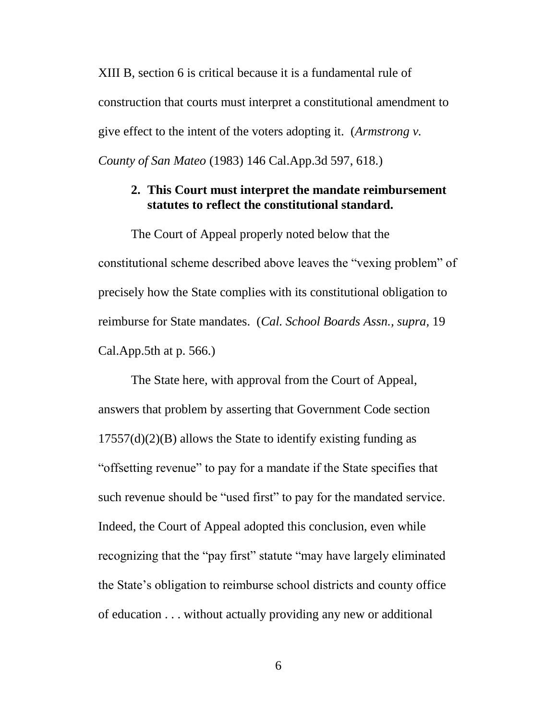XIII B, section 6 is critical because it is a fundamental rule of construction that courts must interpret a constitutional amendment to give effect to the intent of the voters adopting it. (*Armstrong v. County of San Mateo* (1983) 146 Cal.App.3d 597, 618.)

### **2. This Court must interpret the mandate reimbursement statutes to reflect the constitutional standard.**

The Court of Appeal properly noted below that the constitutional scheme described above leaves the "vexing problem" of precisely how the State complies with its constitutional obligation to reimburse for State mandates. (*Cal. School Boards Assn., supra,* 19 Cal.App.5th at p. 566.)

The State here, with approval from the Court of Appeal, answers that problem by asserting that Government Code section  $17557(d)(2)(B)$  allows the State to identify existing funding as "offsetting revenue" to pay for a mandate if the State specifies that such revenue should be "used first" to pay for the mandated service. Indeed, the Court of Appeal adopted this conclusion, even while recognizing that the "pay first" statute "may have largely eliminated the State's obligation to reimburse school districts and county office of education . . . without actually providing any new or additional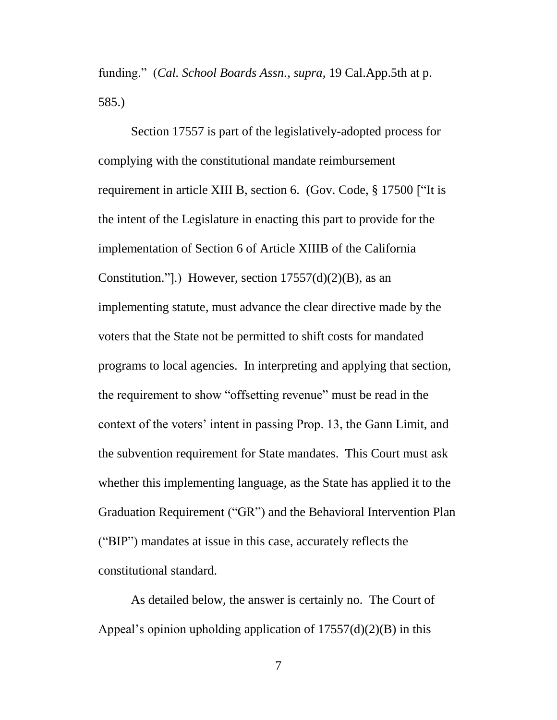funding." (*Cal. School Boards Assn., supra,* 19 Cal.App.5th at p. 585.)

Section 17557 is part of the legislatively-adopted process for complying with the constitutional mandate reimbursement requirement in article XIII B, section 6. (Gov. Code, § 17500 ["It is the intent of the Legislature in enacting this part to provide for the implementation of Section 6 of Article XIIIB of the California Constitution."].) However, section  $17557(d)(2)(B)$ , as an implementing statute, must advance the clear directive made by the voters that the State not be permitted to shift costs for mandated programs to local agencies. In interpreting and applying that section, the requirement to show "offsetting revenue" must be read in the context of the voters' intent in passing Prop. 13, the Gann Limit, and the subvention requirement for State mandates. This Court must ask whether this implementing language, as the State has applied it to the Graduation Requirement ("GR") and the Behavioral Intervention Plan ("BIP") mandates at issue in this case, accurately reflects the constitutional standard.

As detailed below, the answer is certainly no. The Court of Appeal's opinion upholding application of  $17557(d)(2)(B)$  in this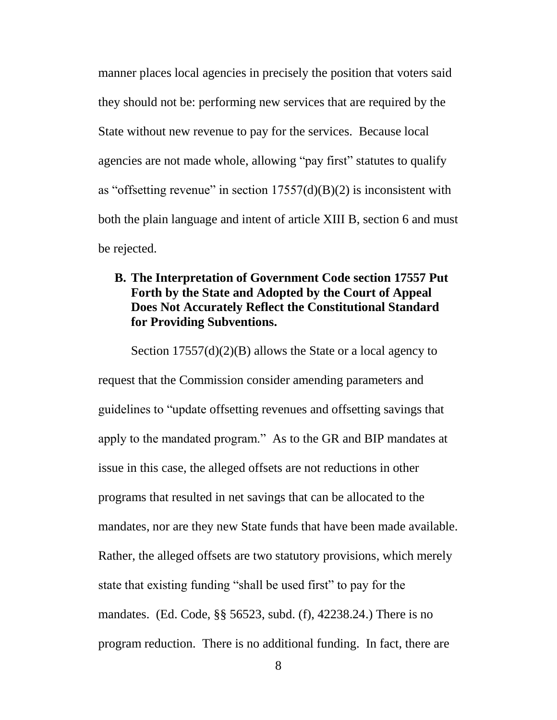manner places local agencies in precisely the position that voters said they should not be: performing new services that are required by the State without new revenue to pay for the services. Because local agencies are not made whole, allowing "pay first" statutes to qualify as "offsetting revenue" in section  $17557(d)(B)(2)$  is inconsistent with both the plain language and intent of article XIII B, section 6 and must be rejected.

# **B. The Interpretation of Government Code section 17557 Put Forth by the State and Adopted by the Court of Appeal Does Not Accurately Reflect the Constitutional Standard for Providing Subventions.**

Section 17557(d)(2)(B) allows the State or a local agency to request that the Commission consider amending parameters and guidelines to "update offsetting revenues and offsetting savings that apply to the mandated program." As to the GR and BIP mandates at issue in this case, the alleged offsets are not reductions in other programs that resulted in net savings that can be allocated to the mandates, nor are they new State funds that have been made available. Rather, the alleged offsets are two statutory provisions, which merely state that existing funding "shall be used first" to pay for the mandates. (Ed. Code, §§ 56523, subd. (f), 42238.24.) There is no program reduction. There is no additional funding. In fact, there are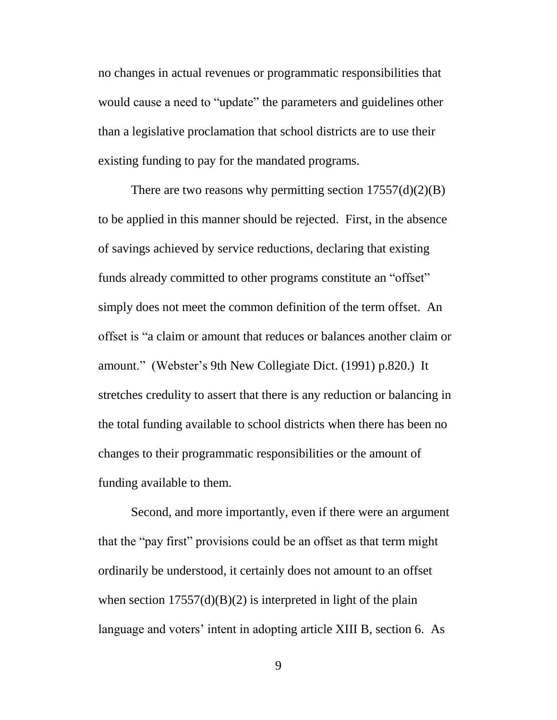no changes in actual revenues or programmatic responsibilities that would cause a need to "update" the parameters and guidelines other than a legislative proclamation that school districts are to use their existing funding to pay for the mandated programs.

There are two reasons why permitting section  $17557(d)(2)(B)$ to be applied in this manner should be rejected. First, in the absence of savings achieved by service reductions, declaring that existing funds already committed to other programs constitute an "offset" simply does not meet the common definition of the term offset. An offset is "a claim or amount that reduces or balances another claim or amount." (Webster's 9th New Collegiate Dict. (1991) p.820.) It stretches credulity to assert that there is any reduction or balancing in the total funding available to school districts when there has been no changes to their programmatic responsibilities or the amount of funding available to them.

Second, and more importantly, even if there were an argument that the "pay first" provisions could be an offset as that term might ordinarily be understood, it certainly does not amount to an offset when section  $17557(d)(B)(2)$  is interpreted in light of the plain language and voters' intent in adopting article XIII B, section 6. As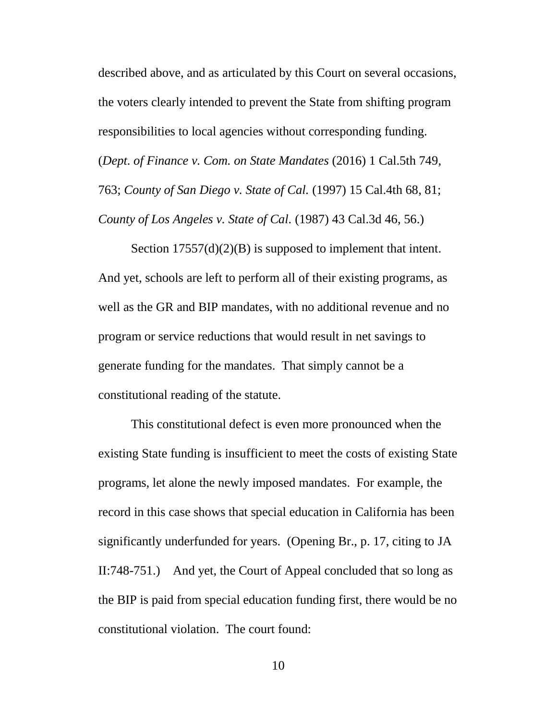described above, and as articulated by this Court on several occasions, the voters clearly intended to prevent the State from shifting program responsibilities to local agencies without corresponding funding. (*Dept. of Finance v. Com. on State Mandates* (2016) 1 Cal.5th 749, 763; *County of San Diego v. State of Cal.* (1997) 15 Cal.4th 68, 81; *County of Los Angeles v. State of Cal.* (1987) 43 Cal.3d 46, 56.)

Section  $17557(d)(2)(B)$  is supposed to implement that intent. And yet, schools are left to perform all of their existing programs, as well as the GR and BIP mandates, with no additional revenue and no program or service reductions that would result in net savings to generate funding for the mandates. That simply cannot be a constitutional reading of the statute.

This constitutional defect is even more pronounced when the existing State funding is insufficient to meet the costs of existing State programs, let alone the newly imposed mandates. For example, the record in this case shows that special education in California has been significantly underfunded for years. (Opening Br., p. 17, citing to JA II:748-751.) And yet, the Court of Appeal concluded that so long as the BIP is paid from special education funding first, there would be no constitutional violation. The court found: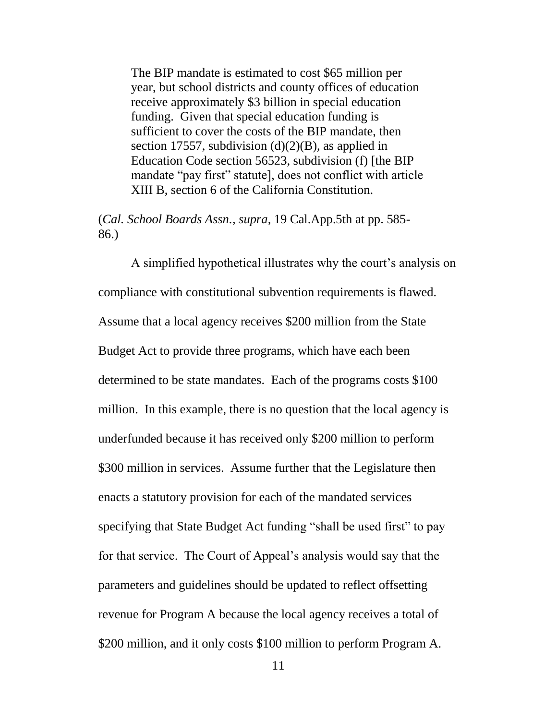The BIP mandate is estimated to cost \$65 million per year, but school districts and county offices of education receive approximately \$3 billion in special education funding. Given that special education funding is sufficient to cover the costs of the BIP mandate, then section 17557, subdivision  $(d)(2)(B)$ , as applied in Education Code section 56523, subdivision (f) [the BIP mandate "pay first" statute], does not conflict with article XIII B, section 6 of the California Constitution.

(*Cal. School Boards Assn., supra,* 19 Cal.App.5th at pp. 585- 86.)

A simplified hypothetical illustrates why the court's analysis on compliance with constitutional subvention requirements is flawed. Assume that a local agency receives \$200 million from the State Budget Act to provide three programs, which have each been determined to be state mandates. Each of the programs costs \$100 million. In this example, there is no question that the local agency is underfunded because it has received only \$200 million to perform \$300 million in services. Assume further that the Legislature then enacts a statutory provision for each of the mandated services specifying that State Budget Act funding "shall be used first" to pay for that service. The Court of Appeal's analysis would say that the parameters and guidelines should be updated to reflect offsetting revenue for Program A because the local agency receives a total of \$200 million, and it only costs \$100 million to perform Program A.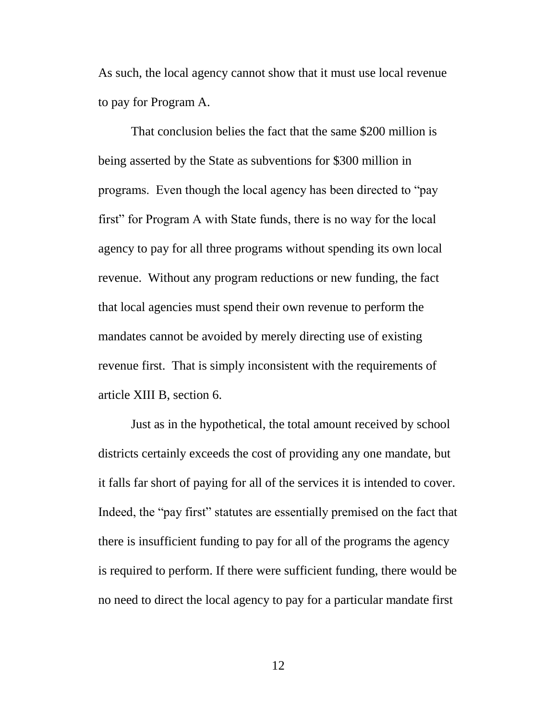As such, the local agency cannot show that it must use local revenue to pay for Program A.

That conclusion belies the fact that the same \$200 million is being asserted by the State as subventions for \$300 million in programs. Even though the local agency has been directed to "pay first" for Program A with State funds, there is no way for the local agency to pay for all three programs without spending its own local revenue. Without any program reductions or new funding, the fact that local agencies must spend their own revenue to perform the mandates cannot be avoided by merely directing use of existing revenue first. That is simply inconsistent with the requirements of article XIII B, section 6.

Just as in the hypothetical, the total amount received by school districts certainly exceeds the cost of providing any one mandate, but it falls far short of paying for all of the services it is intended to cover. Indeed, the "pay first" statutes are essentially premised on the fact that there is insufficient funding to pay for all of the programs the agency is required to perform. If there were sufficient funding, there would be no need to direct the local agency to pay for a particular mandate first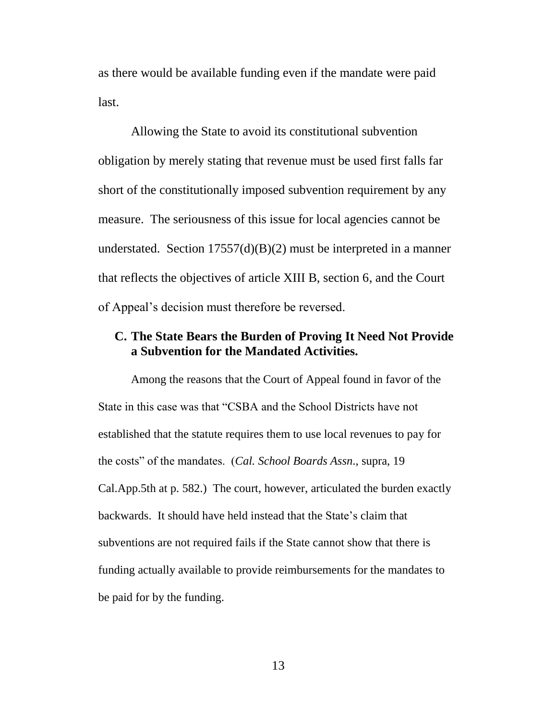as there would be available funding even if the mandate were paid last.

Allowing the State to avoid its constitutional subvention obligation by merely stating that revenue must be used first falls far short of the constitutionally imposed subvention requirement by any measure. The seriousness of this issue for local agencies cannot be understated. Section  $17557(d)(B)(2)$  must be interpreted in a manner that reflects the objectives of article XIII B, section 6, and the Court of Appeal's decision must therefore be reversed.

## **C. The State Bears the Burden of Proving It Need Not Provide a Subvention for the Mandated Activities.**

Among the reasons that the Court of Appeal found in favor of the State in this case was that "CSBA and the School Districts have not established that the statute requires them to use local revenues to pay for the costs" of the mandates. (*Cal. School Boards Assn*., supra, 19 Cal.App.5th at p. 582.) The court, however, articulated the burden exactly backwards. It should have held instead that the State's claim that subventions are not required fails if the State cannot show that there is funding actually available to provide reimbursements for the mandates to be paid for by the funding.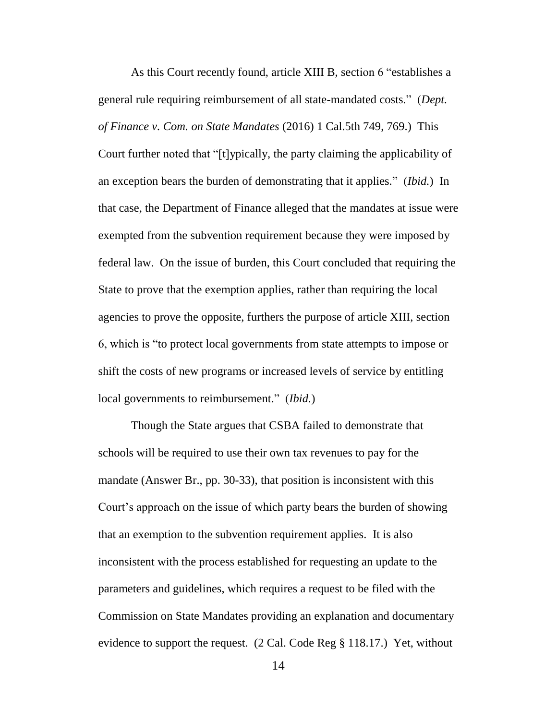As this Court recently found, article XIII B, section 6 "establishes a general rule requiring reimbursement of all state-mandated costs." (*Dept. of Finance v. Com. on State Mandates* (2016) 1 Cal.5th 749, 769.) This Court further noted that "[t]ypically, the party claiming the applicability of an exception bears the burden of demonstrating that it applies." (*Ibid.*) In that case, the Department of Finance alleged that the mandates at issue were exempted from the subvention requirement because they were imposed by federal law. On the issue of burden, this Court concluded that requiring the State to prove that the exemption applies, rather than requiring the local agencies to prove the opposite, furthers the purpose of article XIII, section 6, which is "to protect local governments from state attempts to impose or shift the costs of new programs or increased levels of service by entitling local governments to reimbursement." (*Ibid.*)

Though the State argues that CSBA failed to demonstrate that schools will be required to use their own tax revenues to pay for the mandate (Answer Br., pp. 30-33), that position is inconsistent with this Court's approach on the issue of which party bears the burden of showing that an exemption to the subvention requirement applies. It is also inconsistent with the process established for requesting an update to the parameters and guidelines, which requires a request to be filed with the Commission on State Mandates providing an explanation and documentary evidence to support the request. (2 Cal. Code Reg § 118.17.) Yet, without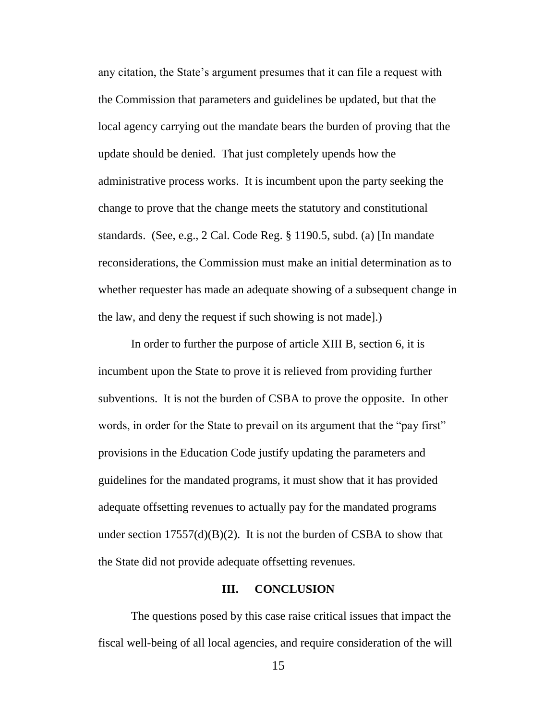any citation, the State's argument presumes that it can file a request with the Commission that parameters and guidelines be updated, but that the local agency carrying out the mandate bears the burden of proving that the update should be denied. That just completely upends how the administrative process works. It is incumbent upon the party seeking the change to prove that the change meets the statutory and constitutional standards. (See, e.g., 2 Cal. Code Reg. § 1190.5, subd. (a) [In mandate reconsiderations, the Commission must make an initial determination as to whether requester has made an adequate showing of a subsequent change in the law, and deny the request if such showing is not made].)

In order to further the purpose of article XIII B, section 6, it is incumbent upon the State to prove it is relieved from providing further subventions. It is not the burden of CSBA to prove the opposite. In other words, in order for the State to prevail on its argument that the "pay first" provisions in the Education Code justify updating the parameters and guidelines for the mandated programs, it must show that it has provided adequate offsetting revenues to actually pay for the mandated programs under section  $17557(d)(B)(2)$ . It is not the burden of CSBA to show that the State did not provide adequate offsetting revenues.

#### **III. CONCLUSION**

The questions posed by this case raise critical issues that impact the fiscal well-being of all local agencies, and require consideration of the will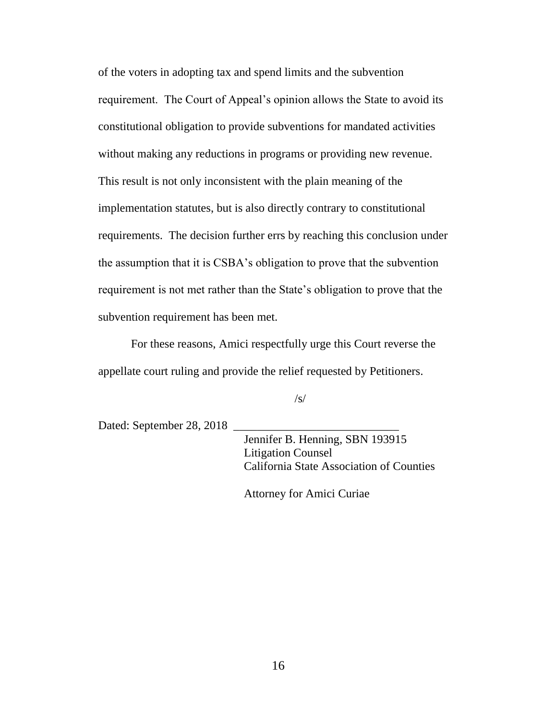of the voters in adopting tax and spend limits and the subvention requirement. The Court of Appeal's opinion allows the State to avoid its constitutional obligation to provide subventions for mandated activities without making any reductions in programs or providing new revenue. This result is not only inconsistent with the plain meaning of the implementation statutes, but is also directly contrary to constitutional requirements. The decision further errs by reaching this conclusion under the assumption that it is CSBA's obligation to prove that the subvention requirement is not met rather than the State's obligation to prove that the subvention requirement has been met.

For these reasons, Amici respectfully urge this Court reverse the appellate court ruling and provide the relief requested by Petitioners.

 $\sqrt{s}$ 

Dated: September 28, 2018

 Jennifer B. Henning, SBN 193915 Litigation Counsel California State Association of Counties

Attorney for Amici Curiae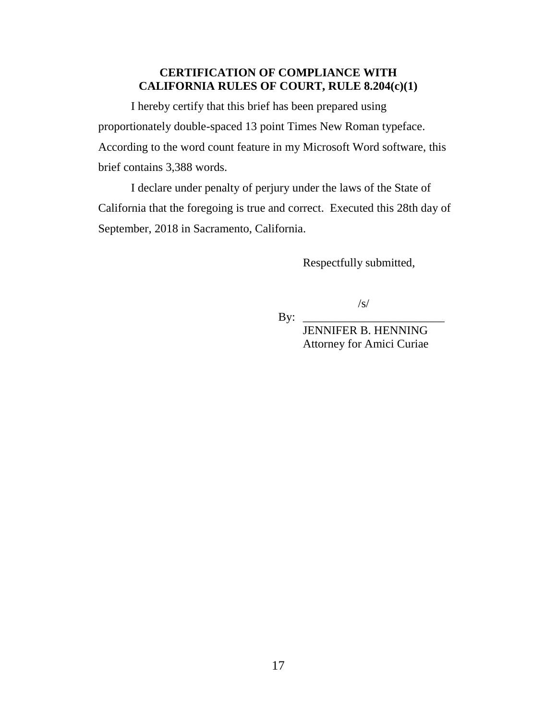### **CERTIFICATION OF COMPLIANCE WITH CALIFORNIA RULES OF COURT, RULE 8.204(c)(1)**

I hereby certify that this brief has been prepared using proportionately double-spaced 13 point Times New Roman typeface. According to the word count feature in my Microsoft Word software, this brief contains 3,388 words.

I declare under penalty of perjury under the laws of the State of California that the foregoing is true and correct. Executed this 28th day of September, 2018 in Sacramento, California.

 $\mathbf{By:}$ 

Respectfully submitted,

/s/

 JENNIFER B. HENNING Attorney for Amici Curiae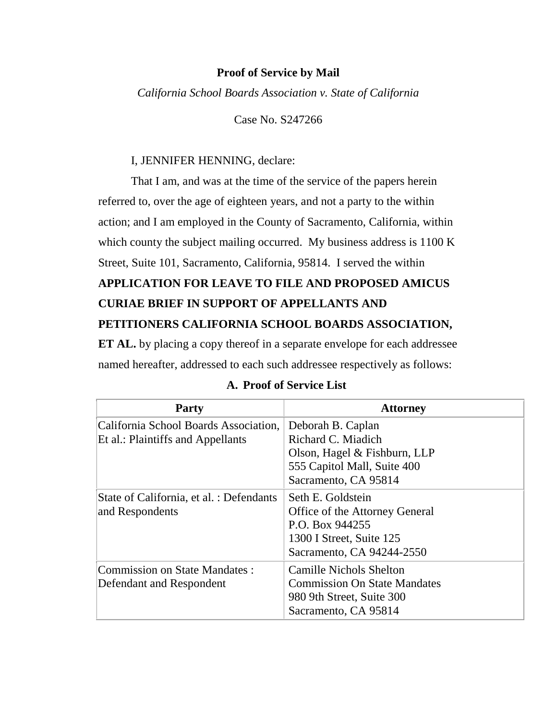#### **Proof of Service by Mail**

*California School Boards Association v. State of California*

Case No. S247266

#### I, JENNIFER HENNING, declare:

That I am, and was at the time of the service of the papers herein referred to, over the age of eighteen years, and not a party to the within action; and I am employed in the County of Sacramento, California, within which county the subject mailing occurred. My business address is 1100 K Street, Suite 101, Sacramento, California, 95814. I served the within **APPLICATION FOR LEAVE TO FILE AND PROPOSED AMICUS CURIAE BRIEF IN SUPPORT OF APPELLANTS AND PETITIONERS CALIFORNIA SCHOOL BOARDS ASSOCIATION,** 

**ET AL.** by placing a copy thereof in a separate envelope for each addressee named hereafter, addressed to each such addressee respectively as follows:

| <b>Party</b>                                                               | <b>Attorney</b>                                                                                                                 |
|----------------------------------------------------------------------------|---------------------------------------------------------------------------------------------------------------------------------|
| California School Boards Association,<br>Et al.: Plaintiffs and Appellants | Deborah B. Caplan<br>Richard C. Miadich<br>Olson, Hagel & Fishburn, LLP<br>555 Capitol Mall, Suite 400<br>Sacramento, CA 95814  |
| State of California, et al. : Defendants<br>and Respondents                | Seth E. Goldstein<br>Office of the Attorney General<br>P.O. Box 944255<br>1300 I Street, Suite 125<br>Sacramento, CA 94244-2550 |
| <b>Commission on State Mandates:</b><br>Defendant and Respondent           | <b>Camille Nichols Shelton</b><br><b>Commission On State Mandates</b><br>980 9th Street, Suite 300<br>Sacramento, CA 95814      |

#### **A. Proof of Service List**